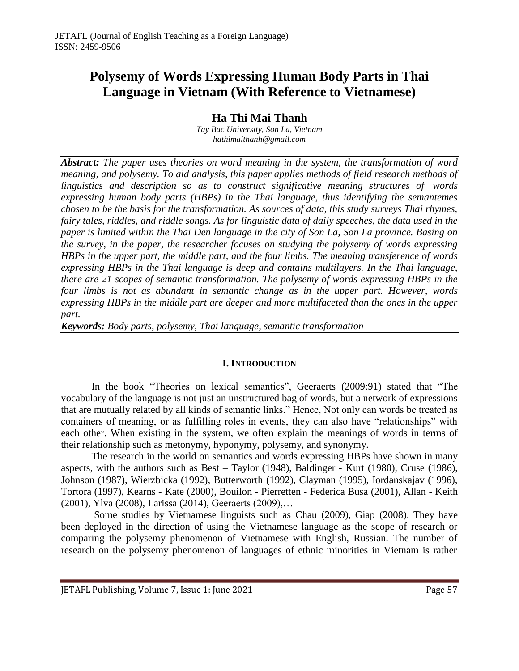# **Polysemy of Words Expressing Human Body Parts in Thai Language in Vietnam (With Reference to Vietnamese)**

**Ha Thi Mai Thanh**

*Tay Bac University, Son La, Vietnam [hathimaithanh@gmail.com](mailto:hathimaithanh@gmail.com)*

*Abstract: The paper uses theories on word meaning in the system, the transformation of word meaning, and polysemy. To aid analysis, this paper applies methods of field research methods of linguistics and description so as to construct significative meaning structures of words expressing human body parts (HBPs) in the Thai language, thus identifying the semantemes chosen to be the basis for the transformation. As sources of data, this study surveys Thai rhymes, fairy tales, riddles, and riddle songs. As for linguistic data of daily speeches, the data used in the paper is limited within the Thai Den language in the city of Son La, Son La province. Basing on the survey, in the paper, the researcher focuses on studying the polysemy of words expressing HBPs in the upper part, the middle part, and the four limbs. The meaning transference of words expressing HBPs in the Thai language is deep and contains multilayers. In the Thai language, there are 21 scopes of semantic transformation. The polysemy of words expressing HBPs in the four limbs is not as abundant in semantic change as in the upper part. However, words expressing HBPs in the middle part are deeper and more multifaceted than the ones in the upper part.*

*Keywords: Body parts, polysemy, Thai language, semantic transformation*

### **I. INTRODUCTION**

In the book "Theories on lexical semantics", Geeraerts (2009:91) stated that "The vocabulary of the language is not just an unstructured bag of words, but a network of expressions that are mutually related by all kinds of semantic links." Hence, Not only can words be treated as containers of meaning, or as fulfilling roles in events, they can also have "relationships" with each other. When existing in the system, we often explain the meanings of words in terms of their relationship such as metonymy, hyponymy, polysemy, and synonymy.

The research in the world on semantics and words expressing HBPs have shown in many aspects, with the authors such as Best – Taylor (1948), Baldinger - Kurt (1980), Cruse (1986), Johnson (1987), Wierzbicka (1992), Butterworth (1992), Clayman (1995), Iordanskajav (1996), Tortora (1997), Kearns - Kate (2000), Bouilon - Pierretten - Federica Busa (2001), Allan - Keith (2001), Ylva (2008), Larissa (2014), Geeraerts (2009),…

Some studies by Vietnamese linguists such as Chau (2009), Giap (2008). They have been deployed in the direction of using the Vietnamese language as the scope of research or comparing the polysemy phenomenon of Vietnamese with English, Russian. The number of research on the polysemy phenomenon of languages of ethnic minorities in Vietnam is rather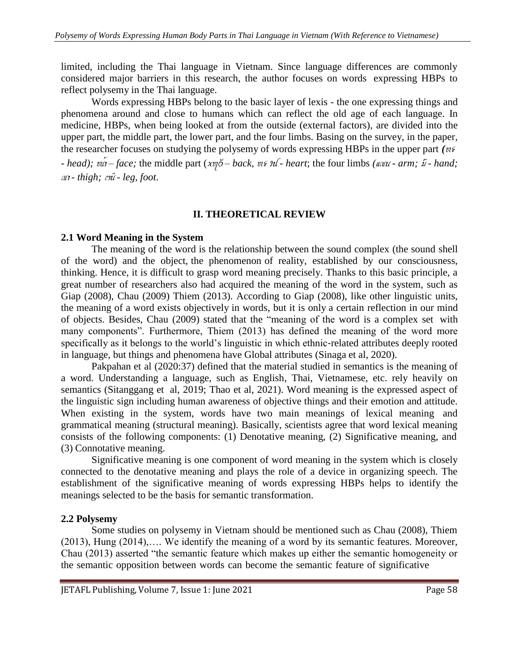limited, including the Thai language in Vietnam. Since language differences are commonly considered major barriers in this research, the author focuses on words expressing HBPs to reflect polysemy in the Thai language.

Words expressing HBPs belong to the basic layer of lexis - the one expressing things and phenomena around and close to humans which can reflect the old age of each language. In medicine, HBPs, when being looked at from the outside (external factors), are divided into the upper part, the middle part, the lower part, and the four limbs. Basing on the survey, in the paper, the researcher focuses on studying the polysemy of words expressing HBPs in the upper part *(* $n \epsilon$ *) - head);*  $\omega$ *n*<sup> $\alpha$ </sup> – *face;* the middle part (*xv* $\delta$  – *back,*  $w \in \mathcal{W}$  *heart*; the four limbs ( $\omega \omega$  - *arm;*  $\bar{\omega}$  - *hand;*  $\alpha$ <sup>*i*</sup> *- thigh;*  $\alpha$ <sup>*n*</sup> *- leg, foot.* 

### **II. THEORETICAL REVIEW**

### **2.1 Word Meaning in the System**

The meaning of the word is the relationship between the sound complex (the sound shell of the word) and the object, the phenomenon of reality, established by our consciousness, thinking. Hence, it is difficult to grasp word meaning precisely. Thanks to this basic principle, a great number of researchers also had acquired the meaning of the word in the system, such as Giap (2008), Chau (2009) Thiem (2013). According to Giap (2008), like other linguistic units, the meaning of a word exists objectively in words, but it is only a certain reflection in our mind of objects. Besides, Chau (2009) stated that the "meaning of the word is a complex set with many components". Furthermore, Thiem (2013) has defined the meaning of the word more specifically as it belongs to the world's linguistic in which ethnic-related attributes deeply rooted in language, but things and phenomena have Global attributes (Sinaga et al, 2020).

Pakpahan et al (2020:37) defined that the material studied in semantics is the meaning of a word. Understanding a language, such as English, Thai, Vietnamese, etc. rely heavily on semantics (Sitanggang et al, 2019; Thao et al, 2021). Word meaning is the expressed aspect of the linguistic sign including human awareness of objective things and their emotion and attitude. When existing in the system, words have two main meanings of lexical meaning and grammatical meaning (structural meaning). Basically, scientists agree that word lexical meaning consists of the following components: (1) Denotative meaning, (2) Significative meaning, and (3) Connotative meaning.

Significative meaning is one component of word meaning in the system which is closely connected to the denotative meaning and plays the role of a device in organizing speech. The establishment of the significative meaning of words expressing HBPs helps to identify the meanings selected to be the basis for semantic transformation.

# **2.2 Polysemy**

Some studies on polysemy in Vietnam should be mentioned such as Chau (2008), Thiem (2013), Hung (2014),…. We identify the meaning of a word by its semantic features. Moreover, Chau (2013) asserted "the semantic feature which makes up either the semantic homogeneity or the semantic opposition between words can become the semantic feature of significative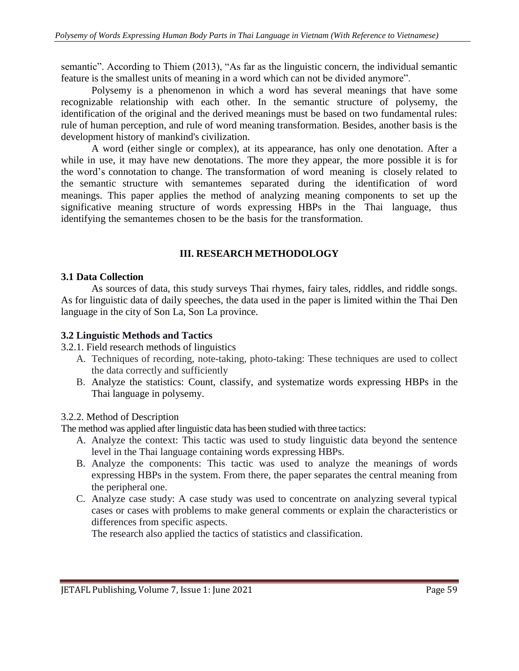semantic". According to Thiem (2013), "As far as the linguistic concern, the individual semantic feature is the smallest units of meaning in a word which can not be divided anymore".

Polysemy is a phenomenon in which a word has several meanings that have some recognizable relationship with each other. In the semantic structure of polysemy, the identification of the original and the derived meanings must be based on two fundamental rules: rule of human perception, and rule of word meaning transformation. Besides, another basis is the development history of mankind's civilization.

A word (either single or complex), at its appearance, has only one denotation. After a while in use, it may have new denotations. The more they appear, the more possible it is for the word's connotation to change. The transformation of word meaning is closely related to the semantic structure with semantemes separated during the identification of word meanings. This paper applies the method of analyzing meaning components to set up the significative meaning structure of words expressing HBPs in the Thai language, thus identifying the semantemes chosen to be the basis for the transformation.

# **III. RESEARCH METHODOLOGY**

### **3.1 Data Collection**

As sources of data, this study surveys Thai rhymes, fairy tales, riddles, and riddle songs. As for linguistic data of daily speeches, the data used in the paper is limited within the Thai Den language in the city of Son La, Son La province.

#### **3.2 Linguistic Methods and Tactics**

3.2.1. Field research methods of linguistics

- A. Techniques of recording, note-taking, photo-taking: These techniques are used to collect the data correctly and sufficiently
- B. Analyze the statistics: Count, classify, and systematize words expressing HBPs in the Thai language in polysemy.

### 3.2.2. Method of Description

The method was applied after linguistic data has been studied with three tactics:

- A. Analyze the context: This tactic was used to study linguistic data beyond the sentence level in the Thai language containing words expressing HBPs.
- B. Analyze the components: This tactic was used to analyze the meanings of words expressing HBPs in the system. From there, the paper separates the central meaning from the peripheral one.
- C. Analyze case study: A case study was used to concentrate on analyzing several typical cases or cases with problems to make general comments or explain the characteristics or differences from specific aspects.

The research also applied the tactics of statistics and classification.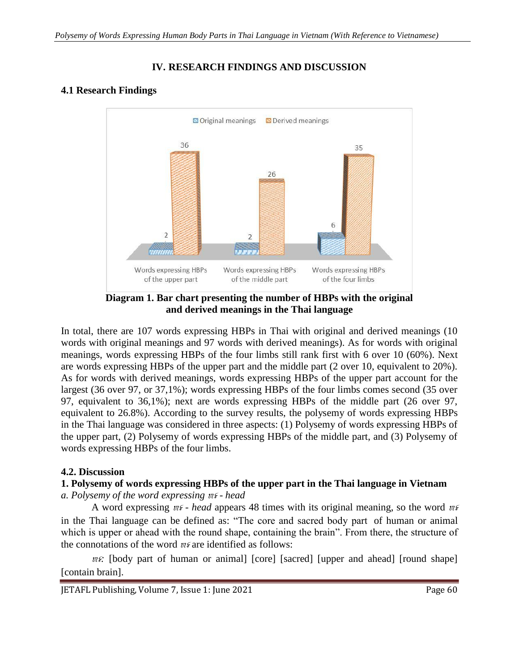# **IV. RESEARCH FINDINGS AND DISCUSSION**

# **4.1 Research Findings**



**Diagram 1. Bar chart presenting the number of HBPs with the original and derived meanings in the Thai language**

In total, there are 107 words expressing HBPs in Thai with original and derived meanings (10) words with original meanings and 97 words with derived meanings). As for words with original meanings, words expressing HBPs of the four limbs still rank first with 6 over 10 (60%). Next are words expressing HBPs of the upper part and the middle part (2 over 10, equivalent to 20%). As for words with derived meanings, words expressing HBPs of the upper part account for the largest (36 over 97, or 37,1%); words expressing HBPs of the four limbs comes second (35 over 97, equivalent to 36,1%); next are words expressing HBPs of the middle part (26 over 97, equivalent to 26.8%). According to the survey results, the polysemy of words expressing HBPs in the Thai language was considered in three aspects: (1) Polysemy of words expressing HBPs of the upper part, (2) Polysemy of words expressing HBPs of the middle part, and (3) Polysemy of words expressing HBPs of the four limbs.

# **4.2. Discussion**

# **1. Polysemy of words expressing HBPs of the upper part in the Thai language in Vietnam**

*a.* Polysemy of the word expressing  $n \xi$  - head

A word expressing  $m\epsilon$  *- head* appears 48 times with its original meaning, so the word  $m\epsilon$ in the Thai language can be defined as: "The core and sacred body part of human or animal which is upper or ahead with the round shape, containing the brain". From there, the structure of the connotations of the word  $n \xi$  are identified as follows:

 $\mathbb{R}$ : [body part of human or animal] [core] [sacred] [upper and ahead] [round shape] [contain brain].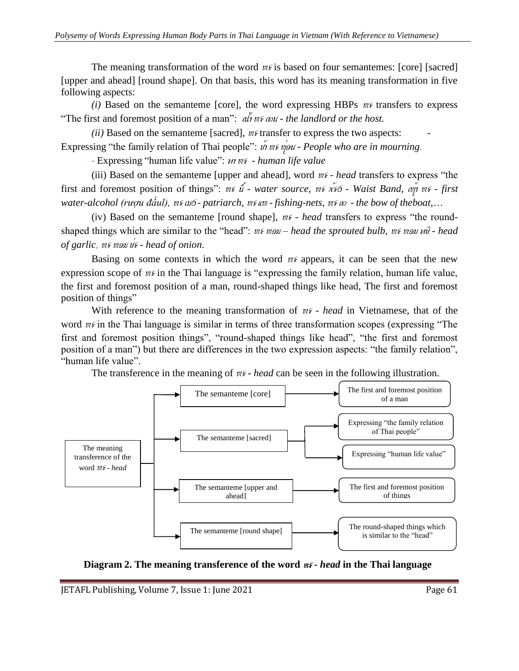The meaning transformation of the word  $m\epsilon$  is based on four semantemes: [core] [sacred] [upper and ahead] [round shape]. On that basis, this word has its meaning transformation in five following aspects:

*(i)* Based on the semanteme [core], the word expressing HBPs  $w\epsilon$  transfers to express "The first and foremost position of a man":  $\overline{a}$   $\overline{b}$   $\overline{w}$   $\overline{s}$   $\overline{w}$  *is and to the host.* 

*(ii)* Based on the semanteme [sacred],  $n \notin$  transfer to express the two aspects: Expressing "the family relation of Thai people":  $\acute{w}$  we would - *People who are in mourning.* 

- Expressing "human life value": *un m<sup>s</sup>* - *human life value* 

(iii) Based on the semanteme [upper and ahead], word  $m\epsilon$  *- head* transfers to express "the first and foremost position of things":  $\psi \in \mathcal{X}$  *water source,*  $\psi \in \mathcal{X}$  *waist Band,*  $\psi \circ \psi$  *wit - first*  $w_{\mathcal{A}}$  *water-alcohol (ruou đầul),*  $w_{\mathcal{A}}$  $\omega$  *- patriarch,*  $w_{\mathcal{A}}$  $w_{\mathcal{A}}$  *<i>ishing-nets,*  $w_{\mathcal{A}}$   $w_{\mathcal{A}}$  *the bow of the boat,...* 

(iv) Based on the semanteme [round shape],  $n \epsilon$  *- head* transfers to express "the roundshaped things which are similar to the "head":  $n \in \mathbb{R}$  *ms mon – head the sprouted bulb,*  $n \in \mathbb{R}$  *mon*  $n\hat{\theta}$  *- head of garlic, we well*  $\frac{d}{dt}$  *- head of onion.* 

Basing on some contexts in which the word  $n \in \mathbb{Z}$  appears, it can be seen that the new expression scope of  $n \in \mathbb{R}$  in the Thai language is "expressing the family relation, human life value, the first and foremost position of a man, round-shaped things like head, The first and foremost position of things"

With reference to the meaning transformation of  $n \epsilon$  *- head* in Vietnamese, that of the word  $m\epsilon$  in the Thai language is similar in terms of three transformation scopes (expressing "The first and foremost position things", "round-shaped things like head", "the first and foremost position of a man") but there are differences in the two expression aspects: "the family relation", "human life value".

The transference in the meaning of  $w\epsilon$ -head can be seen in the following illustration.



**Diagram 2.** The meaning transference of the word  $n \epsilon$ -head in the Thai language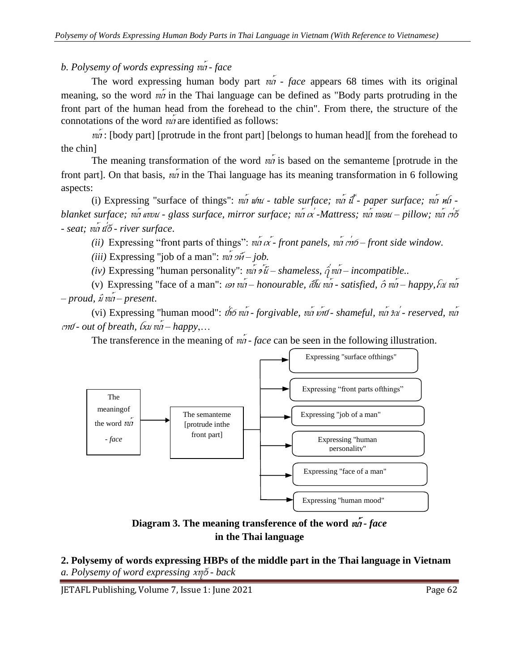*b. Polysemy of words expressing*  $\nu\acute{a}$  *- face* 

The word expressing human body part  $\overline{va}$  *- face* appears 68 times with its original meaning, so the word  $\vec{wa}$  in the Thai language can be defined as "Body parts protruding in the front part of the human head from the forehead to the chin". From there, the structure of the connotations of the word  $v\acute{a}$  are identified as follows:

 $\eta$ : [body part] [protrude in the front part] [belongs to human head][ from the forehead to the chin]

The meaning transformation of the word  $v\acute{a}$  is based on the semanteme [protrude in the front part]. On that basis,  $v\acute{a}$  in the Thai language has its meaning transformation in 6 following aspects:

(i) Expressing "surface of things":  $v\acute{a}$   $u\acute{a}u$  - *table surface;*  $v\acute{a}$  *it*<sup>\*</sup>- paper surface;  $v\acute{a}$   $u\acute{a}$  *blanket surface; va avou - glass surface, mirror surface; va <i>x* -Mattress; va *vusu – pillow; va rib - seat;* n\*a f&}G *- river surface*.

*(ii)* Expressing "front parts of things":  $v\acute{a}$   $\acute{a}$   $\acute{c}$  *front panels,*  $v\acute{a}$  *ch* $\acute{o}$  *– front side window.* 

*(iii)* Expressing "job of a man":  $v\acute{a}$   $\acute{a}$   $\acute{b}$   $\acute{b}$  *– job.* 

*(iv)* Expressing "human personality":  $v\acute{a}i \acute{b}i - shameless$ ,  $\acute{q}v\acute{a}i - incompatible$ ..

(v) Expressing "face of a man":  $\omega_1$  *ion*  $\omega_1$  *– honourable, ibu va - satisfied,*  $\hat{\sigma}$  *va - happy,*  $\hat{\omega}$  *ware*  $-p$ *roud,*  $\hat{y}$  *vut* – *present*.

(vi) Expressing "human mood":  $\hat{\phi}$ fo  $\hat{\psi}$ n *- forgivable,*  $\hat{\psi}$ *n*  $\hat{\psi}$  *- shameful,*  $\hat{\psi}$ *n*  $\hat{\psi}$  *reserved,*  $\hat{\psi}$ n  $\alpha$ <sup>*to - out of breath,*  $\alpha$ *<sub><i>xx*</sub>  $\alpha$ <sup>*n*</sup> – *happy*,...</sup>

The transference in the meaning of  $\omega t$  *- face* can be seen in the following illustration.



**Diagram** 3. The meaning transference of the word  $\overline{m}$  *face* **in the Thai language**

**2. Polysemy of words expressing HBPs of the middle part in the Thai language in Vietnam** *a. Polysemy of word expressing* xl}G *- back*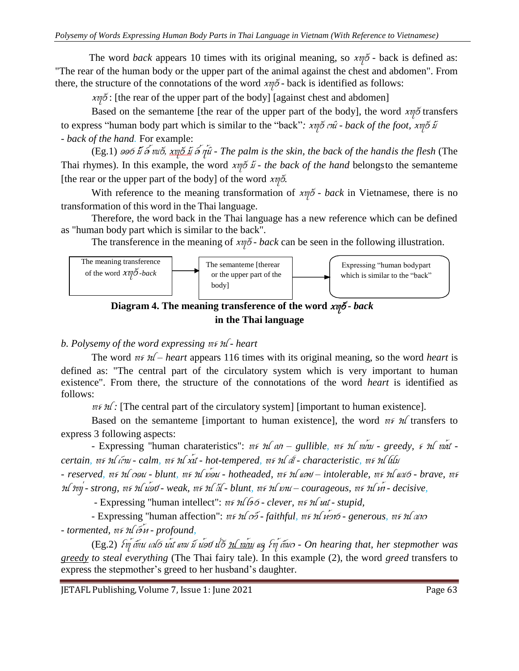The word *back* appears 10 times with its original meaning, so  $x \psi \delta$  - back is defined as: "The rear of the human body or the upper part of the animal against the chest and abdomen". From there, the structure of the connotations of the word  $x\eta\tilde{\delta}$  - back is identified as follows:

 $x\psi$ <sup>6</sup>: [the rear of the upper part of the body] [against chest and abdomen]

Based on the semanteme [the rear of the upper part of the body], the word  $x\eta\delta$  transfers to express "human body part which is similar to the "back":  $xy\delta x\hat{i}$  *- back of the foot,*  $xy\delta \hat{i}$ *- back of the hand.* For example:

(Eg.1)  $\frac{\partial^2 f}{\partial x \partial y}$   $\frac{\partial f}{\partial y}$ ,  $\frac{\partial f}{\partial y}$   $\frac{\partial f}{\partial x}$   $\frac{\partial f}{\partial y}$  *- The palm is the back of the handis the flesh* (The Thai rhymes). In this example, the word  $xy\tilde{\phi} \tilde{x}$  *- the back of the hand* belongsto the semanteme [the rear or the upper part of the body] of the word  $x \eta \delta$ .

With reference to the meaning transformation of  $x \psi \delta$  *- back* in Vietnamese, there is no transformation of this word in the Thai language.

Therefore, the word back in the Thai language has a new reference which can be defined as "human body part which is similar to the back".

The transference in the meaning of  $x \eta \tilde{\delta}$  *- back* can be seen in the following illustration.



**Diagram 4. The meaning transference of the word** xl}G *- back* **in the Thai language**

# *b. Polysemy of the word expressing*  $\mathfrak{m} \mathfrak{s} \mathfrak{m}$  *- heart*

The word  $\mathfrak{m}\mathfrak{s}$   $\mathfrak{m}$  – *heart* appears 116 times with its original meaning, so the word *heart* is defined as: "The central part of the circulatory system which is very important to human existence". From there, the structure of the connotations of the word *heart* is identified as follows:

 $\mathbb{W}\{\mathcal{H}\}$ : [The central part of the circulatory system] [important to human existence].

Based on the semanteme [important to human existence], the word  $n \in \mathcal{H}$  transfers to express 3 following aspects:

- Expressing "human charateristics":  $w\epsilon$   $\mathcal{U}(\omega) -$  gullible,  $w\epsilon$   $\mathcal{U}(\omega)\omega$  - greedy,  $\epsilon$   $\mathcal{U}(\omega)\omega'$  *certain, we sul linu - calm, we sul xit - hot-tempered, we sul at - characteristic, we sul lilu* 

*- reserved,* h> Ys doN *- blunt,* h> Ys H\*oN *- hotheaded,* h> Ys eCb *– intolerable,* h> Ys ekG *- brave,* h> Ys Yz& *- strong,* h> Ys N\*oJ *- weak,* h> Ys UX *- blunt,* h> Ys HaN *– courageous,* h> Ys c\*a *- decisive,*

- Expressing "human intellect":  $n \in \mathcal{H}$  (96 - *clever,*  $n \in \mathcal{H}$  *ut-stupid,* 

- Expressing "human affection":  $w \in \mathcal{H}$  ob-faithful,  $w \in \mathcal{H}$  *n*(of-generous,  $w \in \mathcal{H}$  and *- tormented,* h> Ys AL\*c *- profound,*

(Eg.2) *Fvj* čvu caló ut ww i use ilő n wiw as *Fvj* čva - On hearing that, her stepmother was *greedy to steal everything* (The Thai fairy tale). In this example (2), the word *greed* transfers to express the stepmother's greed to her husband's daughter.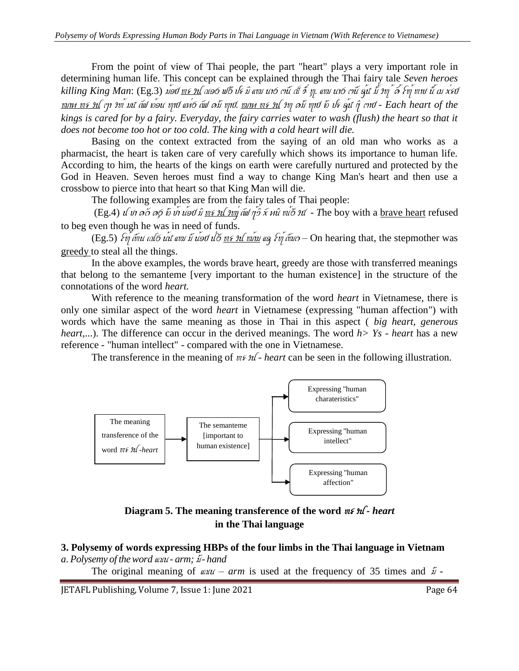From the point of view of Thai people, the part "heart" plays a very important role in determining human life. This concept can be explained through the Thai fairy tale *Seven heroes* killing King Man: (Eg.3) ม*่อป* <u>พร หเ</u> ณอ6 ฟ6 ปร มิ แพม นา6 เาน้ เป์ ร<sup>ี</sup> ทู. แพม นา6 เาน้ คูน ้ม ึ มๆ *้ ด*์ โท ุ้ พาฟ นั้ เม x่รป mac h> Ys Za Yh\* M\$ AB H\*oN laJ ec&G AB <sup>C</sup>UM laJ. mac h> Ys Yl CUM laJ UH p> O\*\$ iS taJ *- Each heart of the kings is cared for by a fairy. Everyday, the fairy carries water to wash (flush) the heart so that it does not become too hot or too cold. The king with a cold heart will die.*

Basing on the context extracted from the saying of an old man who works as a pharmacist, the heart is taken care of very carefully which shows its importance to human life. According to him, the hearts of the kings on earth were carefully nurtured and protected by the God in Heaven. Seven heroes must find a way to change King Man's heart and then use a crossbow to pierce into that heart so that King Man will die.

The following examples are from the fairy tales of Thai people:

(Eg.4) s ba C}d CuG UH b\*a N\*oJ iM h> Ys Yz& AB S\*iV [x ciN n\*}G Yf *- T*he boy with a brave heart refused to beg even though he was in need of funds.

(Eg.5)  $\delta v_1'$   $\delta v_1$   $\delta u$   $\delta u$   $\delta u$   $\delta u$   $\delta u$   $\delta u$   $\delta v$   $\delta u$   $\delta u$   $\delta u$   $\delta u$   $\delta u$   $\delta u$   $\delta u$   $\delta u$   $\delta u$   $\delta u$   $\delta u$   $\delta u$   $\delta u$   $\delta u$   $\delta u$   $\delta u$   $\delta u$   $\delta u$   $\delta u$   $\delta u$   $\delta u$   $\delta u$   $\delta u$   $\delta u$   $\delta u$   $\delta u$ greedy to steal all the things.

In the above examples, the words brave heart, greedy are those with transferred meanings that belong to the semanteme [very important to the human existence] in the structure of the connotations of the word *heart.*

With reference to the meaning transformation of the word *heart* in Vietnamese, there is only one similar aspect of the word *heart* in Vietnamese (expressing "human affection") with words which have the same meaning as those in Thai in this aspect ( *big heart, generous heart*,...). The difference can occur in the derived meanings. The word *h> Ys - heart* has a new reference - "human intellect" - compared with the one in Vietnamese.

The transference in the meaning of  $n \in \mathcal{H}$  *heart* can be seen in the following illustration.



**Diagram** 5. The meaning transference of the word  $\mathbb{W} \times \mathbb{W}$ - *heart* **in the Thai language**

#### **3. Polysemy of words expressing HBPs of the four limbs in the Thai language in Vietnam**  $a.$  *Polysemy of the word*  $a \omega \omega$  - *arm;*  $\tilde{\omega}$  - *hand*

The original meaning of  $\omega \omega t - a r m$  is used at the frequency of 35 times and  $\tilde{\omega}$  -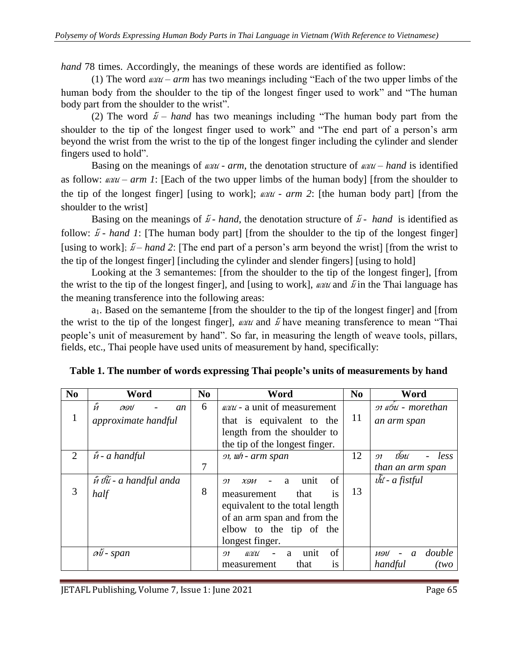*hand* 78 times. Accordingly, the meanings of these words are identified as follow:

(1) The word  $\omega/\omega - arm$  has two meanings including "Each of the two upper limbs of the human body from the shoulder to the tip of the longest finger used to work" and "The human body part from the shoulder to the wrist".

(2) The word  $\tilde{\mu}$  – *hand* has two meanings including "The human body part from the shoulder to the tip of the longest finger used to work" and "The end part of a person's arm beyond the wrist from the wrist to the tip of the longest finger including the cylinder and slender fingers used to hold".

Basing on the meanings of  $\omega \omega t$  -  $arm$ , the denotation structure of  $\omega \omega t$  – hand is identified as follow:  $\omega\omega - a\tau m$  *I*: [Each of the two upper limbs of the human body] [from the shoulder to the tip of the longest finger] [using to work];  $\omega \omega$  *- arm* 2: [the human body part] [from the shoulder to the wrist]

Basing on the meanings of  $\tilde{\mu}$  *- hand*, the denotation structure of  $\tilde{\mu}$  *- hand* is identified as follow:  $\tilde{\mu}$  *- hand 1*: [The human body part] [from the shoulder to the tip of the longest finger] [using to work];  $\tilde{\psi}$  – *hand* 2: [The end part of a person's arm beyond the wrist] [from the wrist to the tip of the longest finger] [including the cylinder and slender fingers] [using to hold]

Looking at the 3 semantemes: [from the shoulder to the tip of the longest finger], [from the wrist to the tip of the longest finger], and [using to work], *and a*nd  $\tilde{U}$  in the Thai language has the meaning transference into the following areas:

a1. Based on the semanteme [from the shoulder to the tip of the longest finger] and [from the wrist to the tip of the longest finger],  $\omega \omega \omega$  and  $\tilde{\omega}$  have meaning transference to mean "Thai people's unit of measurement by hand". So far, in measuring the length of weave tools, pillars, fields, etc., Thai people have used units of measurement by hand, specifically:

| N <sub>0</sub> | Word                                                    | N <sub>0</sub> | Word                                                                                                                                                                                | N <sub>0</sub> | Word                                               |
|----------------|---------------------------------------------------------|----------------|-------------------------------------------------------------------------------------------------------------------------------------------------------------------------------------|----------------|----------------------------------------------------|
| $\mathbf{1}$   | $\tilde{\tilde{M}}$<br>ดอป<br>an<br>approximate handful | 6              | $\omega \omega$ - a unit of measurement<br>that is equivalent to the<br>length from the shoulder to<br>the tip of the longest finger.                                               | 11             | 91 <i>«6u</i> - morethan<br>an arm span            |
| $\overline{2}$ | $\hat{m}$ - a handful                                   | $\overline{7}$ | 91, wh - arm span                                                                                                                                                                   | 12             | ปอน<br>less<br>91<br>than an arm span              |
| 3              | n that is a handful anda<br>half                        | 8              | of<br>unit<br>a<br>X <sub>9</sub><br>91<br>that<br>measurement<br>1S<br>equivalent to the total length<br>of an arm span and from the<br>elbow to the tip of the<br>longest finger. | 13             | $\hat{w}$ - a fistful                              |
|                | $\mathcal{A}\tilde{\mathcal{V}}$ - span                 |                | of<br>unit<br>$\mathcal{U}\mathcal{U}$<br>a<br>91<br>that<br>measurement<br><b>1S</b>                                                                                               |                | double<br>ทอป<br>$\mathfrak{a}$<br>handful<br>(two |

**Table 1. The number of words expressing Thai people's units of measurements by hand**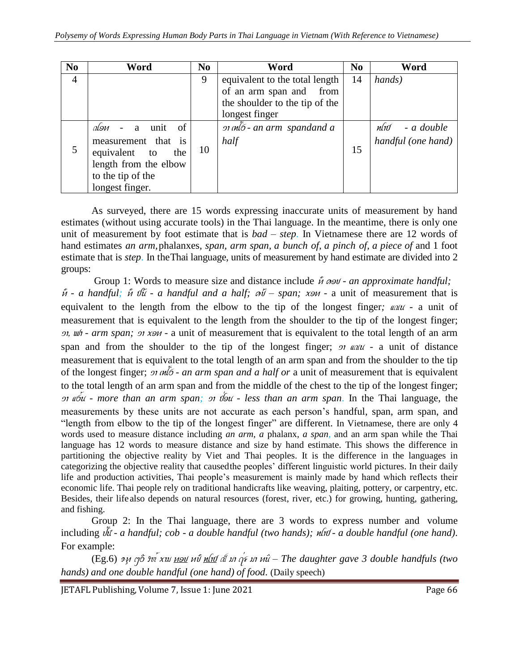| N <sub>0</sub> | Word                              | N <sub>0</sub> | Word                           | N <sub>0</sub> | Word               |
|----------------|-----------------------------------|----------------|--------------------------------|----------------|--------------------|
| $\overline{4}$ |                                   | 9              | equivalent to the total length | 14             | hands)             |
|                |                                   |                | of an arm span and from        |                |                    |
|                |                                   |                | the shoulder to the tip of the |                |                    |
|                |                                   |                | longest finger                 |                |                    |
| 5              | <sub>of</sub><br>don<br>unit<br>a | 10             |                                | 15             | nlıd<br>- a double |
|                | measurement that is               |                | half                           |                | handful (one hand) |
|                | equivalent to<br>the              |                |                                |                |                    |
|                | length from the elbow             |                |                                |                |                    |
|                | to the tip of the                 |                |                                |                |                    |
|                | longest finger.                   |                |                                |                |                    |

As surveyed, there are 15 words expressing inaccurate units of measurement by hand estimates (without using accurate tools) in the Thai language. In the meantime, there is only one unit of measurement by foot estimate that is *bad – step*. In Vietnamese there are 12 words of hand estimates *an arm,*phalanxes*, span, arm span, a bunch of, a pinch of, a piece of* and 1 foot estimate that is *step*. In theThai language, units of measurement by hand estimate are divided into 2 groups:

Group 1: Words to measure size and distance include  $\hat{n} \cos \theta$  *- an approximate handful*;  ${\hat{u}}$  *- a handful;*  ${\hat{u}}$   $\partial{\hat{u}}$  *- a handful and a half;*  $\partial{\hat{v}}$  *– span;*  $x \in \partial{u}$  *- a unit of measurement that is* equivalent to the length from the elbow to the tip of the longest finger;  $\omega \omega t$  - a unit of measurement that is equivalent to the length from the shoulder to the tip of the longest finger; *o*, *uh - arm span; <i>oi xon -* a unit of measurement that is equivalent to the total length of an arm span and from the shoulder to the tip of the longest finger;  $\sigma$  and  $\alpha$  - a unit of distance measurement that is equivalent to the total length of an arm span and from the shoulder to the tip of the longest finger; *or*  $m\bar{\delta}$  *- an arm span and a half or* a unit of measurement that is equivalent to the total length of an arm span and from the middle of the chest to the tip of the longest finger; Va eG\*N *- more than an arm span;* Va j&oN *- less than an arm span*. In the Thai language, the measurements by these units are not accurate as each person's handful, span, arm span, and "length from elbow to the tip of the longest finger" are different. In Vietnamese, there are only 4 words used to measure distance including *an arm, a* phalanx*, a span,* and an arm span while the Thai language has 12 words to measure distance and size by hand estimate. This shows the difference in partitioning the objective reality by Viet and Thai peoples. It is the difference in the languages in categorizing the objective reality that causedthe peoples' different linguistic world pictures. In their daily life and production activities, Thai people's measurement is mainly made by hand which reflects their economic life. Thai people rely on traditional handicrafts like weaving, plaiting, pottery, or carpentry, etc. Besides, their lifealso depends on natural resources (forest, river, etc.) for growing, hunting, gathering, and fishing.

Group 2: In the Thai language, there are 3 words to express number and volume including  $\hat{u}$  *- a handful; cob - a double handful (two hands);*  $\hat{u}$ *fu - a double handful (one hand).* For example:

(Eg.6) Luc ZiG Yh\* xaM cob <sup>c</sup>{b FaJ Q Ma w&> Ma ciN *– The daughter gave 3 double handfuls (two hands) and one double handful (one hand) of food.* (Daily speech)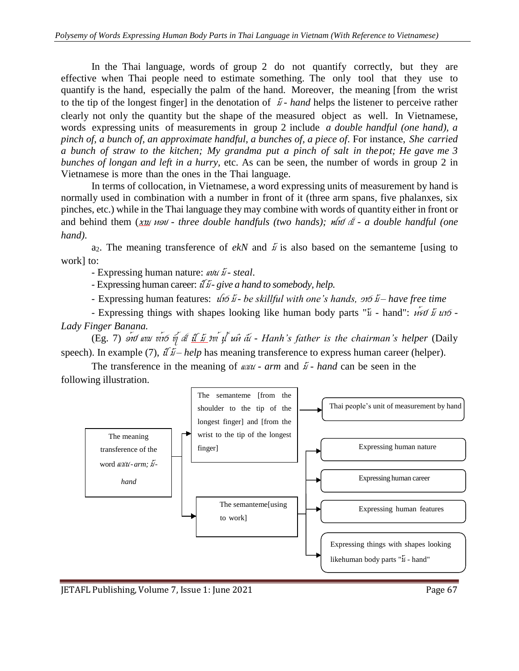In the Thai language, words of group 2 do not quantify correctly, but they are effective when Thai people need to estimate something. The only tool that they use to quantify is the hand, especially the palm of the hand. Moreover, the meaning [from the wrist to the tip of the longest finger] in the denotation of  $\tilde{\mu}$  - *hand* helps the listener to perceive rather clearly not only the quantity but the shape of the measured object as well. In Vietnamese, words expressing units of measurements in group 2 include *a double handful (one hand), a pinch of, a bunch of, an approximate handful, a bunches of, a piece of*. For instance, *She carried a bunch of straw to the kitchen; My grandma put a pinch of salt in thepot; He gave me 3 bunches of longan and left in a hurry,* etc. As can be seen, the number of words in group 2 in Vietnamese is more than the ones in the Thai language.

In terms of collocation, in Vietnamese, a word expressing units of measurement by hand is normally used in combination with a number in front of it (three arm spans, five phalanxes, six pinches, etc.) while in the Thai language they may combine with words of quantity either in front or and behind them  $(x_1y_1 \wedge y_2) -$  *three double handfuls (two hands);*  $n\omega$  *nd*  $\omega$  *- a double handful (one hand)*.

a<sub>2</sub>. The meaning transference of *ekN* and  $\tilde{\mu}$  is also based on the semanteme [using to work] to:

- Expressing human nature: *abu i steal*.

 $-$  Expressing human career:  $\hat{u}$   $\hat{y}$  - give a hand to somebody, help.

- Expressing human features:  $u$  i  $\delta$   $\tilde{\mu}$  - *be skillful with one's hands,*  $\delta$ *i*  $\delta$  *i* – *have free time* 

- Expressing things with shapes looking like human body parts " $\tilde{u}$  - hand": *ust*  $\tilde{u}$  *uto* -*Lady Finger Banana.*

Eg. 7)  $\acute{o}$ nd and viib v al <u>il is</u> yv yl un a - Hanh's father is the chairman's helper (Daily speech). In example (7),  $\hat{d} \hat{L}$  *– help* has meaning transference to express human career (helper).

The transference in the meaning of  $\omega \omega t$  *arm* and  $\tilde{\mu}$  *- hand* can be seen in the following illustration.

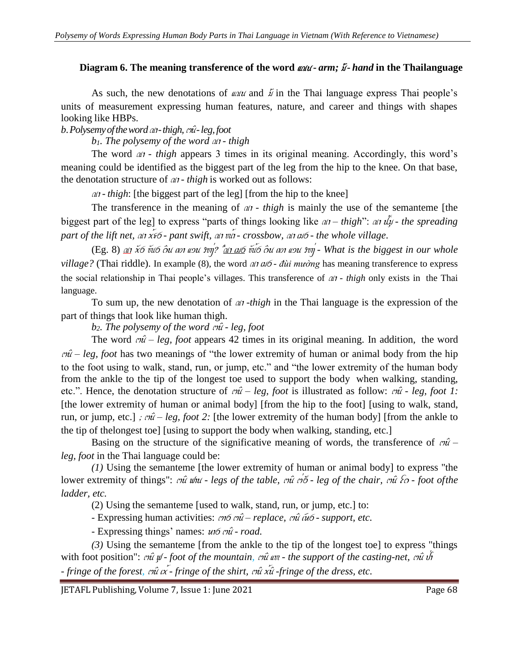# **Diagram** 6. The meaning transference of the word  $\omega \omega$ - arm; *i*- hand in the Thailanguage

As such, the new denotations of  $\omega \omega \omega$  and  $\ddot{\omega}$  in the Thai language express Thai people's units of measurement expressing human features, nature, and career and things with shapes looking like HBPs.

*b. Polysemy of the word*  $\omega$ *-thigh,*  $\omega$ *<sup>2</sup>-leg, foot* 

*b*<sub>1</sub>*. The polysemy of the word*  $\omega$ *<sup><i>i*</sup> - *thigh* 

The word  $a$  *thigh* appears 3 times in its original meaning. Accordingly, this word's meaning could be identified as the biggest part of the leg from the hip to the knee. On that base, the denotation structure of  $\omega$ *i* - *thigh* is worked out as follows:

 $\alpha$  *thigh*: [the biggest part of the leg] [from the hip to the knee]

The transference in the meaning of  $a_i$  - *thigh* is mainly the use of the semanteme [the biggest part of the leg] to express "parts of things looking like  $a_i - thigh$ ":  $a_i$   $\tilde{u}_i - the$  *spreading part of the lift net,*  $\alpha$  *x\*6 - pant swift,*  $\alpha$  *i*  $\alpha$  *- <i>crossbow,*  $\alpha$  *i*  $\alpha$ *6 - the whole village.* 

*(Eg. 8) an x6 vu6 ou an usu svn/?*  $\frac{2a}{100}$  *vu6 ou an usu svn* - What is the biggest in our whole *village?* (Thai riddle). In example (8), the word *at as*  $\omega$  *- đùi muòng* has meaning transference to express the social relationship in Thai people's villages. This transference of  $\alpha$ *t* - *thigh* only exists in the Thai language.

To sum up, the new denotation of an *-thigh* in the Thai language is the expression of the part of things that look like human thigh.

*b*<sub>2</sub>*. The polysemy of the word*  $\sigma \hat{u}$  *- <i>leg, foot* 

The word  $\hat{m}$  – *leg, foot* appears 42 times in its original meaning. In addition, the word  $\hat{m}$  – *leg, foot* has two meanings of "the lower extremity of human or animal body from the hip to the foot using to walk, stand, run, or jump, etc." and "the lower extremity of the human body from the ankle to the tip of the longest toe used to support the body when walking, standing, etc.". Hence, the denotation structure of  $r\hat{u}$  – *leg, foot* is illustrated as follow:  $r\hat{u}$  - *leg, foot* 1: [the lower extremity of human or animal body] [from the hip to the foot] [using to walk, stand, run, or jump, etc.] *;*  $\hat{m}$  *– leg, foot* 2: [the lower extremity of the human body] [from the ankle to the tip of thelongest toe] [using to support the body when walking, standing, etc.]

Basing on the structure of the significative meaning of words, the transference of  $\omega$ <sup>-</sup> *leg, foot* in the Thai language could be:

*(1)* Using the semanteme [the lower extremity of human or animal body] to express "the lower extremity of things":  $\eta \hat{u}$  whu - legs of the table,  $\eta \hat{u}$   $\eta \hat{\delta}$  - leg of the chair,  $\eta \hat{u}$   $\hat{\delta}$  - foot of the *ladder, etc.*

(2) Using the semanteme [used to walk, stand, run, or jump, etc.] to:

- Expressing human activities:  $\omega \sim \omega - \omega$  *replace,*  $\omega \sim \omega$  *info - support, etc.* 

- Expressing things' names:  $u \circ \hat{m}$  *- road.* 

*(3)* Using the semanteme [from the ankle to the tip of the longest toe] to express "things with foot position":  $\omega \hat{u}$   $\psi$  *- foot of the mountain,*  $\omega \hat{u}$  *an - the support of the casting-net,*  $\omega \hat{u}$  *if - fringe of the forest,*  $\sigma \hat{u}$  $\alpha$ *<sup><i>x*</sup> *- fringe of the shirt,*  $\sigma \hat{u}$  *x* $\hat{u}$  *-fringe of the dress, etc.* 

IETAFL Publishing, Volume 7, Issue 1: June 2021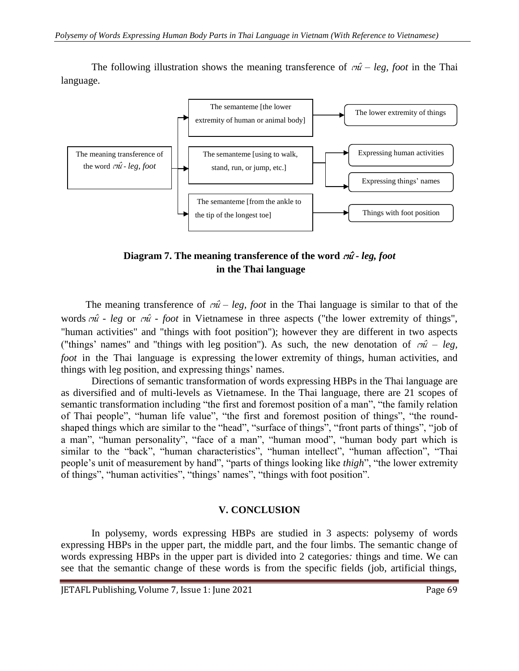The following illustration shows the meaning transference of  $\omega \hat{i}$  – *leg, foot* in the Thai language.



**Diagram** 7. The meaning transference of the word  $m\hat{i}$ -leg, foot **in the Thai language**

The meaning transference of  $\vec{m}$  – *leg, foot* in the Thai language is similar to that of the words  $c\hat{i}$  *- leg* or  $c\hat{i}$  *- foot* in Vietnamese in three aspects ("the lower extremity of things", "human activities" and "things with foot position"); however they are different in two aspects ("things' names" and "things with leg position"). As such, the new denotation of  $\omega \hat{i} - \omega_{\hat{i}}$ *foot* in the Thai language is expressing the lower extremity of things, human activities, and things with leg position, and expressing things' names.

Directions of semantic transformation of words expressing HBPs in the Thai language are as diversified and of multi-levels as Vietnamese. In the Thai language, there are 21 scopes of semantic transformation including "the first and foremost position of a man", "the family relation of Thai people", "human life value", "the first and foremost position of things", "the roundshaped things which are similar to the "head", "surface of things", "front parts of things", "job of a man", "human personality", "face of a man", "human mood", "human body part which is similar to the "back", "human characteristics", "human intellect", "human affection", "Thai people's unit of measurement by hand", "parts of things looking like *thigh*", "the lower extremity of things", "human activities", "things' names", "things with foot position".

### **V. CONCLUSION**

In polysemy, words expressing HBPs are studied in 3 aspects: polysemy of words expressing HBPs in the upper part, the middle part, and the four limbs. The semantic change of words expressing HBPs in the upper part is divided into 2 categories*:* things and time. We can see that the semantic change of these words is from the specific fields (job, artificial things,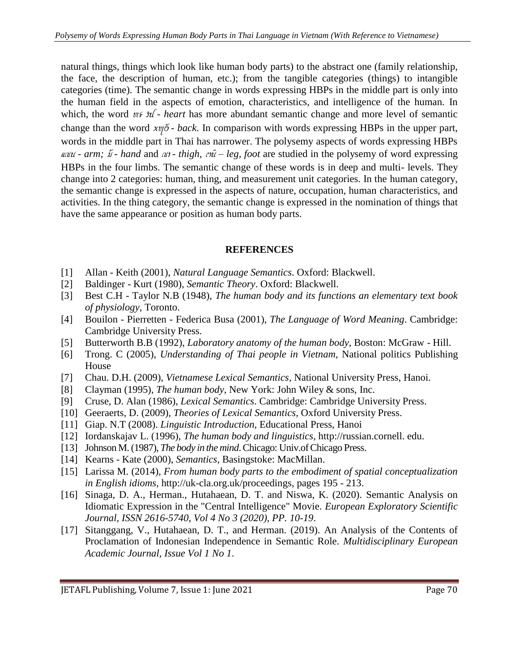natural things, things which look like human body parts) to the abstract one (family relationship, the face, the description of human, etc.); from the tangible categories (things) to intangible categories (time)*.* The semantic change in words expressing HBPs in the middle part is only into the human field in the aspects of emotion, characteristics, and intelligence of the human. In which, the word  $\psi \in \mathcal{U}$ - *heart* has more abundant semantic change and more level of semantic change than the word  $xy\delta$  *- back*. In comparison with words expressing HBPs in the upper part, words in the middle part in Thai has narrower. The polysemy aspects of words expressing HBPs  $\omega \omega t$  - *arm;*  $\tilde{\omega}$  - *hand* and  $\omega t$  - *thigh,*  $\tilde{\omega}$  *- leg, foot* are studied in the polysemy of word expressing HBPs in the four limbs. The semantic change of these words is in deep and multi- levels. They change into 2 categories: human, thing, and measurement unit categories. In the human category, the semantic change is expressed in the aspects of nature, occupation, human characteristics, and activities. In the thing category, the semantic change is expressed in the nomination of things that have the same appearance or position as human body parts.

### **REFERENCES**

- [1] Allan Keith (2001), *Natural Language Semantics*. Oxford: Blackwell.
- [2] Baldinger Kurt (1980), *Semantic Theory*. Oxford: Blackwell.
- [3] Best C.H Taylor N.B (1948), *The human body and its functions an elementary text book of physiology*, Toronto.
- [4] Bouilon Pierretten Federica Busa (2001), *The Language of Word Meaning*. Cambridge: Cambridge University Press.
- [5] Butterworth B.B (1992), *Laboratory anatomy of the human body*, Boston: McGraw Hill.
- [6] Trong. C (2005), *Understanding of Thai people in Vietnam,* National politics Publishing House
- [7] Chau. D.H. (2009), *Vietnamese Lexical Semantics*, National University Press, Hanoi.
- [8] Clayman (1995), *The human body*, New York: John Wiley & sons, Inc.
- [9] Cruse, D. Alan (1986), *Lexical Semantics*. Cambridge: Cambridge University Press.
- [10] Geeraerts, D. (2009), *Theories of Lexical Semantics*, Oxford University Press.
- [11] Giap. N.T (2008). *Linguistic Introduction,* Educational Press, Hanoi
- [12] Iordanskajav L. (1996), *The human body and linguistics*, [http://russian.cornell.](http://russian.cornell/) edu.
- [13] Johnson M.(1987), *The body in the mind*.Chicago: Univ.ofChicago Press.
- [14] Kearns Kate (2000), *Semantics*, Basingstoke: MacMillan.
- [15] Larissa M. (2014), *From human body parts to the embodiment of spatial conceptualization in English idioms*, [http://uk-cla.org.uk/proceedings,](http://uk-cla.org.uk/proceedings) pages 195 - 213.
- [16] Sinaga, D. A., Herman., Hutahaean, D. T. and Niswa, K. (2020). Semantic Analysis on Idiomatic Expression in the "Central Intelligence" Movie. *European Exploratory Scientific Journal, ISSN 2616-5740, Vol 4 No 3 (2020), PP. 10-19*.
- [17] Sitanggang, V., Hutahaean, D. T., and Herman. (2019). An Analysis of the Contents of Proclamation of Indonesian Independence in Semantic Role. *Multidisciplinary European Academic Journal, Issue Vol 1 No 1*.